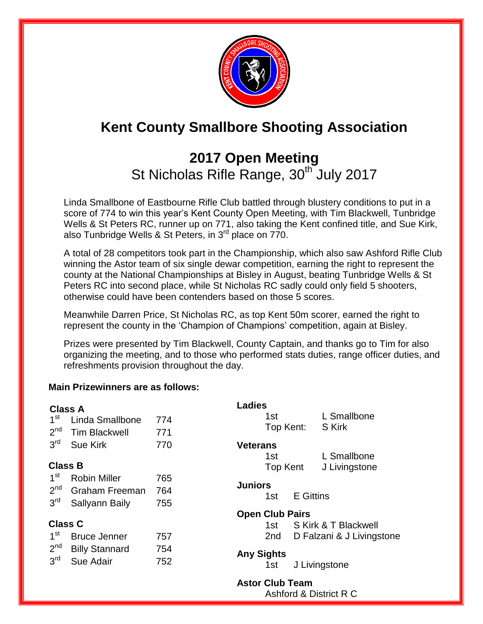

# **Kent County Smallbore Shooting Association**

## **2017 Open Meeting**  St Nicholas Rifle Range, 30<sup>th July 2017</sup>

Linda Smallbone of Eastbourne Rifle Club battled through blustery conditions to put in a score of 774 to win this year's Kent County Open Meeting, with Tim Blackwell, Tunbridge Wells & St Peters RC, runner up on 771, also taking the Kent confined title, and Sue Kirk, also Tunbridge Wells & St Peters, in  $3^{rd}$  place on  $770$ .

A total of 28 competitors took part in the Championship, which also saw Ashford Rifle Club winning the Astor team of six single dewar competition, earning the right to represent the county at the National Championships at Bisley in August, beating Tunbridge Wells & St Peters RC into second place, while St Nicholas RC sadly could only field 5 shooters, otherwise could have been contenders based on those 5 scores.

Meanwhile Darren Price, St Nicholas RC, as top Kent 50m scorer, earned the right to represent the county in the 'Champion of Champions' competition, again at Bisley.

Prizes were presented by Tim Blackwell, County Captain, and thanks go to Tim for also organizing the meeting, and to those who performed stats duties, range officer duties, and refreshments provision throughout the day.

#### **Main Prizewinners are as follows:**

| <b>Class A</b>  |                       |     | <b>Ladies</b>     |                        |                      |                           |  |  |
|-----------------|-----------------------|-----|-------------------|------------------------|----------------------|---------------------------|--|--|
| 1 <sup>st</sup> | Linda Smallbone       | 774 |                   | 1st                    |                      | L Smallbone               |  |  |
| 2 <sup>nd</sup> | <b>Tim Blackwell</b>  | 771 |                   | Top Kent:              |                      | S Kirk                    |  |  |
| 3 <sup>rd</sup> | <b>Sue Kirk</b>       | 770 | <b>Veterans</b>   |                        |                      |                           |  |  |
|                 |                       |     |                   | 1st                    |                      | L Smallbone               |  |  |
| <b>Class B</b>  |                       |     |                   | Top Kent               |                      | J Livingstone             |  |  |
| 1 <sup>st</sup> | <b>Robin Miller</b>   | 765 |                   |                        |                      |                           |  |  |
| 2 <sup>nd</sup> | <b>Graham Freeman</b> | 764 | <b>Juniors</b>    |                        |                      |                           |  |  |
| 3 <sup>rd</sup> | Sallyann Baily        | 755 |                   | 1st                    | <b>E</b> Gittins     |                           |  |  |
|                 |                       |     |                   | <b>Open Club Pairs</b> |                      |                           |  |  |
| <b>Class C</b>  |                       |     |                   | 1st –                  | S Kirk & T Blackwell |                           |  |  |
| 1 <sup>st</sup> | <b>Bruce Jenner</b>   | 757 |                   | 2 <sub>nd</sub>        |                      | D Falzani & J Livingstone |  |  |
| 2 <sup>nd</sup> | <b>Billy Stannard</b> | 754 |                   |                        |                      |                           |  |  |
| 3 <sup>rd</sup> | Sue Adair             | 752 | <b>Any Sights</b> | 1st                    | J Livingstone        |                           |  |  |
|                 |                       |     |                   | <b>Astor Club Team</b> |                      |                           |  |  |

Ashford & District R C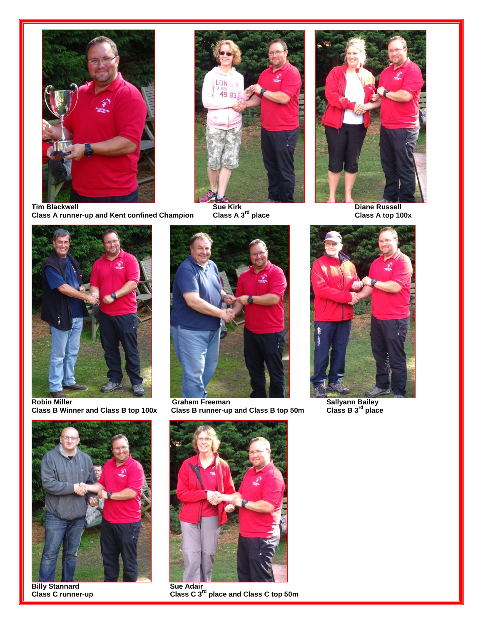









**Class B runner-up and Class B top 50m** 





**Billy Stannard<br>Class C runner-up** 



**Class C 3<sup>rd</sup> place and Class C top 50m**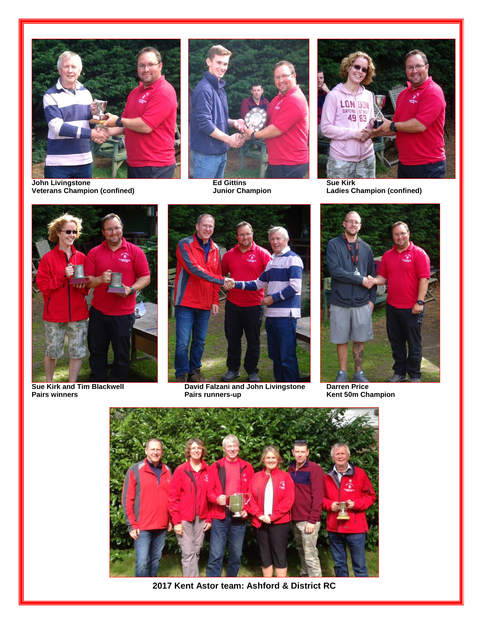

**John Livingstone Ed Gittins Sue Kirk Veterans Champion (confined) Junior Champion Ladies Champion (confined)**









**Sue Kirk and Tim Blackwell David Falzani and John Livingstone Darren Price**



**Pairs winners Pairs runners-up Kent 50m Champion** 



**2017 Kent Astor team: Ashford & District RC**